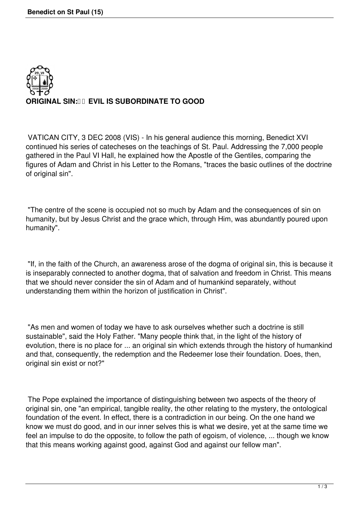

VATICAN CITY, 3 DEC 2008 (VIS) - In his general audience this morning, Benedict XVI continued his series of catecheses on the teachings of St. Paul. Addressing the 7,000 people gathered in the Paul VI Hall, he explained how the Apostle of the Gentiles, comparing the figures of Adam and Christ in his Letter to the Romans, "traces the basic outlines of the doctrine of original sin".

"The centre of the scene is occupied not so much by Adam and the consequences of sin on humanity, but by Jesus Christ and the grace which, through Him, was abundantly poured upon humanity".

 "If, in the faith of the Church, an awareness arose of the dogma of original sin, this is because it is inseparably connected to another dogma, that of salvation and freedom in Christ. This means that we should never consider the sin of Adam and of humankind separately, without understanding them within the horizon of justification in Christ".

 "As men and women of today we have to ask ourselves whether such a doctrine is still sustainable", said the Holy Father. "Many people think that, in the light of the history of evolution, there is no place for ... an original sin which extends through the history of humankind and that, consequently, the redemption and the Redeemer lose their foundation. Does, then, original sin exist or not?"

 The Pope explained the importance of distinguishing between two aspects of the theory of original sin, one "an empirical, tangible reality, the other relating to the mystery, the ontological foundation of the event. In effect, there is a contradiction in our being. On the one hand we know we must do good, and in our inner selves this is what we desire, yet at the same time we feel an impulse to do the opposite, to follow the path of egoism, of violence, ... though we know that this means working against good, against God and against our fellow man".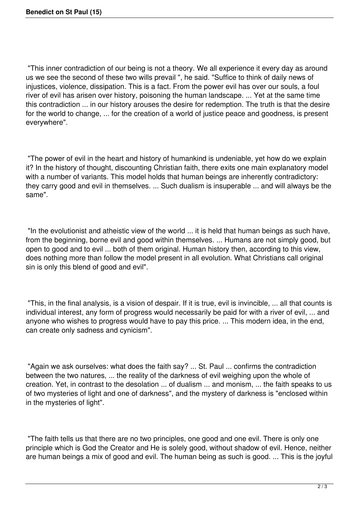"This inner contradiction of our being is not a theory. We all experience it every day as around us we see the second of these two wills prevail ", he said. "Suffice to think of daily news of injustices, violence, dissipation. This is a fact. From the power evil has over our souls, a foul river of evil has arisen over history, poisoning the human landscape. ... Yet at the same time this contradiction ... in our history arouses the desire for redemption. The truth is that the desire for the world to change, ... for the creation of a world of justice peace and goodness, is present everywhere".

 "The power of evil in the heart and history of humankind is undeniable, yet how do we explain it? In the history of thought, discounting Christian faith, there exits one main explanatory model with a number of variants. This model holds that human beings are inherently contradictory: they carry good and evil in themselves. ... Such dualism is insuperable ... and will always be the same".

 "In the evolutionist and atheistic view of the world ... it is held that human beings as such have, from the beginning, borne evil and good within themselves. ... Humans are not simply good, but open to good and to evil ... both of them original. Human history then, according to this view, does nothing more than follow the model present in all evolution. What Christians call original sin is only this blend of good and evil".

 "This, in the final analysis, is a vision of despair. If it is true, evil is invincible, ... all that counts is individual interest, any form of progress would necessarily be paid for with a river of evil, ... and anyone who wishes to progress would have to pay this price. ... This modern idea, in the end, can create only sadness and cynicism".

 "Again we ask ourselves: what does the faith say? ... St. Paul ... confirms the contradiction between the two natures, ... the reality of the darkness of evil weighing upon the whole of creation. Yet, in contrast to the desolation ... of dualism ... and monism, ... the faith speaks to us of two mysteries of light and one of darkness", and the mystery of darkness is "enclosed within in the mysteries of light".

 "The faith tells us that there are no two principles, one good and one evil. There is only one principle which is God the Creator and He is solely good, without shadow of evil. Hence, neither are human beings a mix of good and evil. The human being as such is good. ... This is the joyful